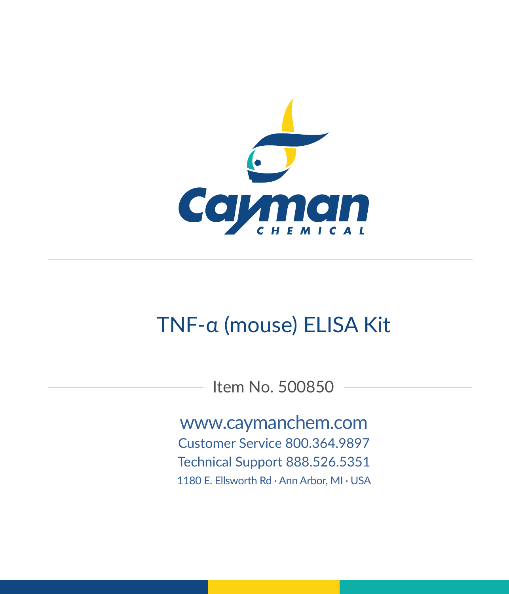

# TNF-α (mouse) ELISA Kit

Item No. 500850

www.caymanchem.com Customer Service 800.364.9897 Technical Support 888.526.5351 1180 E. Ellsworth Rd · Ann Arbor, MI · USA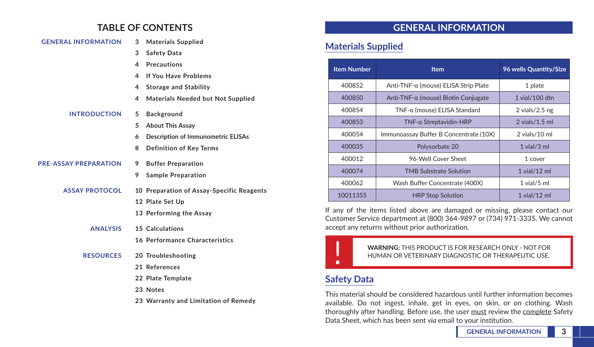## **TABLE OF CONTENTS**

| <b>GENERAL INFORMATION</b>   | <b>Materials Supplied</b><br>3                 |
|------------------------------|------------------------------------------------|
|                              | 3<br><b>Safety Data</b>                        |
|                              | <b>Precautions</b><br>4                        |
|                              | <b>If You Have Problems</b><br>4               |
|                              | 4<br><b>Storage and Stability</b>              |
|                              | Materials Needed but Not Supplied<br>4         |
| <b>INTRODUCTION</b>          | 5<br><b>Background</b>                         |
|                              | 5<br><b>About This Assay</b>                   |
|                              | <b>Description of Immunometric ELISAs</b><br>6 |
|                              | 8<br><b>Definition of Key Terms</b>            |
| <b>PRE-ASSAY PREPARATION</b> | <b>Buffer Preparation</b><br>9                 |
|                              | 9<br><b>Sample Preparation</b>                 |
| <b>ASSAY PROTOCOL</b>        | 10 Preparation of Assay-Specific Reagents      |
|                              | 12 Plate Set Up                                |
|                              | 13 Performing the Assay                        |
| <b>ANALYSIS</b>              | 15 Calculations                                |
|                              | 16 Performance Characteristics                 |
| <b>RESOURCES</b>             | 20 Troubleshooting                             |
|                              | 21 References                                  |
|                              | 22 Plate Template                              |
|                              | 23 Notes                                       |

**23 Warranty and Limitation of Remedy**

## **GENERAL INFORMATION**

## **Materials Supplied**

| <b>Item Number</b> | <b>Item</b>                            | 96 wells Quantity/Size |
|--------------------|----------------------------------------|------------------------|
| 400852             | Anti-TNF-α (mouse) ELISA Strip Plate   | 1 plate                |
| 400850             | Anti-TNF-α (mouse) Biotin Conjugate    | 1 vial/100 dtn         |
| 400854             | TNF-a (mouse) ELISA Standard           | 2 vials/ $2.5$ ng      |
| 400853             | TNF-a Streptavidin-HRP                 | $2$ vials/1.5 ml       |
| 400054             | Immunoassay Buffer B Concentrate (10X) | $2$ vials/10 ml        |
| 400035             | Polysorbate 20                         | $1$ vial/ $3$ ml       |
| 400012             | 96-Well Cover Sheet                    | 1 cover                |
| 400074             | <b>TMB Substrate Solution</b>          | $1$ vial/ $12$ ml      |
| 400062             | Wash Buffer Concentrate (400X)         | $1$ vial/ $5$ ml       |
| 10011355           | <b>HRP Stop Solution</b>               | $1$ vial/ $12$ ml      |

If any of the items listed above are damaged or missing, please contact our Customer Service department at (800) 364-9897 or (734) 971-3335. We cannot accept any returns without prior authorization.



WARNING: THIS PRODUCT IS FOR RESEARCH ONLY - NOT FOR<br>HUMAN OR VETERINARY DIAGNOSTIC OR THERAPEUTIC USE. HUMAN OR VETERINARY DIAGNOSTIC OR THERAPEUTIC USE.

## **Safety Data**

This material should be considered hazardous until further information becomes available. Do not ingest, inhale, get in eyes, on skin, or on clothing. Wash thoroughly after handling. Before use, the user must review the complete Safety Data Sheet, which has been sent *via* email to your institution.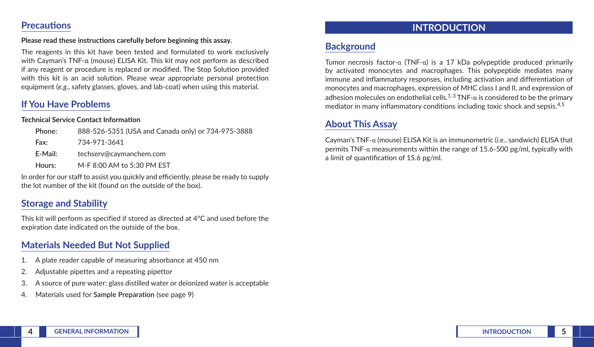#### **Precautions**

#### **Please read these instructions carefully before beginning this assay.**

The reagents in this kit have been tested and formulated to work exclusively with Cayman's TNF-α (mouse) ELISA Kit. This kit may not perform as described if any reagent or procedure is replaced or modified. The Stop Solution provided with this kit is an acid solution. Please wear appropriate personal protection equipment (*e.g.*, safety glasses, gloves, and lab-coat) when using this material.

### **If You Have Problems**

#### **Technical Service Contact Information**

| Phone:  | 888-526-5351 (USA and Canada only) or 734-975-3888 |
|---------|----------------------------------------------------|
| Fax:    | 734-971-3641                                       |
| E-Mail: | techserv@caymanchem.com                            |
| Hours:  | M-F 8:00 AM to 5:30 PM EST                         |

In order for our staff to assist you quickly and efficiently, please be ready to supply the lot number of the kit (found on the outside of the box).

### **Storage and Stability**

This kit will perform as specified if stored as directed at 4°C and used before the expiration date indicated on the outside of the box.

### **Materials Needed But Not Supplied**

- 1. A plate reader capable of measuring absorbance at 450 nm
- 2. Adjustable pipettes and a repeating pipettor
- 3. A source of pure water; glass distilled water or deionized water is acceptable
- 4. Materials used for **Sample Preparation** (see page 9)

### **INTRODUCTION**

## **Background**

Tumor necrosis factor-α (TNF-α) is a 17 kDa polypeptide produced primarily by activated monocytes and macrophages. This polypeptide mediates many immune and inflammatory responses, including activation and differentiation of monocytes and macrophages, expression of MHC class I and II, and expression of adhesion molecules on endothelial cells.<sup>1-3</sup> TNF- $\alpha$  is considered to be the primary mediator in many inflammatory conditions including toxic shock and sepsis.<sup>4,5</sup>

### **About This Assay**

Cayman's TNF-α (mouse) ELISA Kit is an immunometric (*i.e.*, sandwich) ELISA that permits TNF-α measurements within the range of 15.6-500 pg/ml, typically with a limit of quantification of 15.6 pg/ml.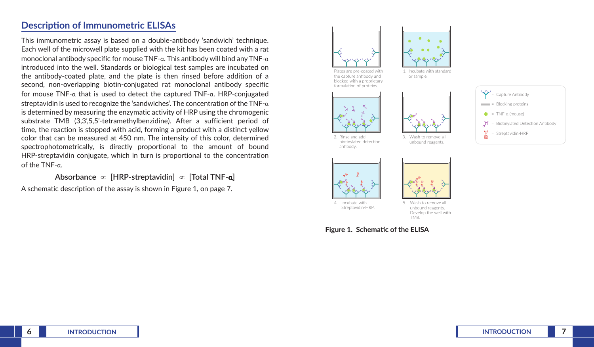### **Description of Immunometric ELISAs**

This immunometric assay is based on a double-antibody 'sandwich' technique. Each well of the microwell plate supplied with the kit has been coated with a rat monoclonal antibody specific for mouse TNF-α. This antibody will bind any TNF-α introduced into the well. Standards or biological test samples are incubated on the antibody-coated plate, and the plate is then rinsed before addition of a second, non-overlapping biotin-conjugated rat monoclonal antibody specific for mouse TNF-α that is used to detect the captured TNF-α. HRP-conjugated streptavidin is used to recognize the 'sandwiches'. The concentration of the TNF-α is determined by measuring the enzymatic activity of HRP using the chromogenic substrate TMB (3,3',5,5'-tetramethylbenzidine). After a sufficient period of time, the reaction is stopped with acid, forming a product with a distinct yellow color that can be measured at 450 nm. The intensity of this color, determined spectrophotometrically, is directly proportional to the amount of bound HRP-streptavidin conjugate, which in turn is proportional to the concentration of the TNF-α.

**Absorbance** ∝ **[HRP-streptavidin]** ∝ **[Total TNF-α]**

A schematic description of the assay is shown in Figure 1, on page 7.



the capture an
body and blocked with a proprietary formulation of proteins.



1. Incubate with standard or sample.









antibody.



Wash to remove all unbound reagents. Develop the well with TMD.

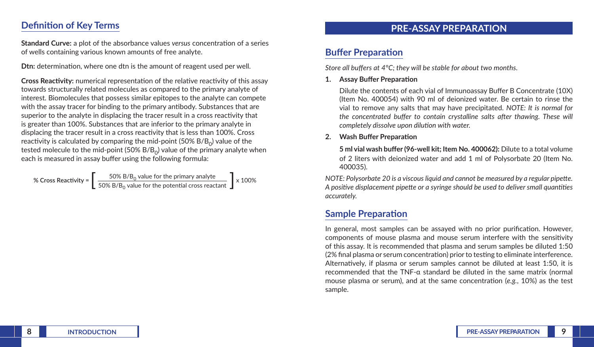### **Definition of Key Terms**

**Standard Curve:** a plot of the absorbance values *versus* concentration of a series of wells containing various known amounts of free analyte.

**Dtn:** determination, where one dtn is the amount of reagent used per well.

**Cross Reactivity:** numerical representation of the relative reactivity of this assay towards structurally related molecules as compared to the primary analyte of interest. Biomolecules that possess similar epitopes to the analyte can compete with the assay tracer for binding to the primary antibody. Substances that are superior to the analyte in displacing the tracer result in a cross reactivity that is greater than 100%. Substances that are inferior to the primary analyte in displacing the tracer result in a cross reactivity that is less than 100%. Cross reactivity is calculated by comparing the mid-point (50%  $B/B<sub>o</sub>$ ) value of the tested molecule to the mid-point (50%  $B/B<sub>o</sub>$ ) value of the primary analyte when each is measured in assay buffer using the following formula:

% Cross Reactivity = 
$$
\left[\frac{50\% B/B_0 \text{ value for the primary analytic}}{50\% B/B_0 \text{ value for the potential cross reactant}}\right] \times 100\%
$$

### **PRE-ASSAY PREPARATION**

## **Buffer Preparation**

*Store all buffers at 4°C; they will be stable for about two months.*

**1. Assay Buffer Preparation**

Dilute the contents of each vial of Immunoassay Buffer B Concentrate (10X) (Item No. 400054) with 90 ml of deionized water. Be certain to rinse the vial to remove any salts that may have precipitated. *NOTE: It is normal for the concentrated buffer to contain crystalline salts after thawing. These will completely dissolve upon dilution with water.*

#### **2. Wash Buffer Preparation**

**5 ml vial wash buffer (96-well kit; Item No. 400062):** Dilute to a total volume of 2 liters with deionized water and add 1 ml of Polysorbate 20 (Item No. 400035).

*NOTE: Polysorbate 20 is a viscous liquid and cannot be measured by a regular pipette. A positive displacement pipette or a syringe should be used to deliver small quantities accurately.* 

## **Sample Preparation**

In general, most samples can be assayed with no prior purification. However, components of mouse plasma and mouse serum interfere with the sensitivity of this assay. It is recommended that plasma and serum samples be diluted 1:50 (2% final plasma or serum concentration) prior to testing to eliminate interference. Alternatively, if plasma or serum samples cannot be diluted at least 1:50, it is recommended that the TNF-α standard be diluted in the same matrix (normal mouse plasma or serum), and at the same concentration (*e.g.*, 10%) as the test sample.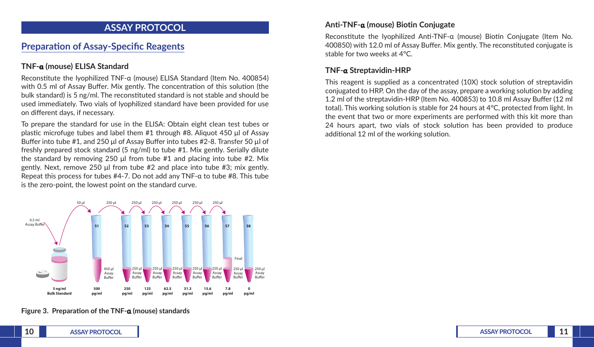### **ASSAY PROTOCOL**

## **Preparation of Assay-Specific Reagents**

#### **TNF-α (mouse) ELISA Standard**

Reconstitute the lyophilized TNF-α (mouse) ELISA Standard (Item No. 400854) with 0.5 ml of Assay Buffer. Mix gently. The concentration of this solution (the bulk standard) is 5 ng/ml. The reconstituted standard is not stable and should be used immediately. Two vials of lyophilized standard have been provided for use on different days, if necessary.

To prepare the standard for use in the ELISA: Obtain eight clean test tubes or plastic microfuge tubes and label them #1 through #8. Aliquot 450 μl of Assay Buffer into tube #1, and 250 μl of Assay Buffer into tubes #2-8. Transfer 50 µl of freshly prepared stock standard (5 ng/ml) to tube #1. Mix gently. Serially dilute the standard by removing 250 μl from tube #1 and placing into tube #2. Mix gently. Next, remove 250 μl from tube #2 and place into tube #3; mix gently. Repeat this process for tubes  $#4-7$ . Do not add any TNF- $\alpha$  to tube  $#8$ . This tube is the zero-point, the lowest point on the standard curve.



#### **Figure 3. Preparation of the TNF-α (mouse) standards**

#### **Anti-TNF-α (mouse) Biotin Conjugate**

Reconstitute the lyophilized Anti-TNF-α (mouse) Biotin Conjugate (Item No. 400850) with 12.0 ml of Assay Buffer. Mix gently. The reconstituted conjugate is stable for two weeks at 4°C.

#### **TNF-α Streptavidin-HRP**

This reagent is supplied as a concentrated (10X) stock solution of streptavidin conjugated to HRP. On the day of the assay, prepare a working solution by adding 1.2 ml of the streptavidin-HRP (Item No. 400853) to 10.8 ml Assay Buffer (12 ml total). This working solution is stable for 24 hours at 4°C, protected from light. In the event that two or more experiments are performed with this kit more than 24 hours apart, two vials of stock solution has been provided to produce additional 12 ml of the working solution.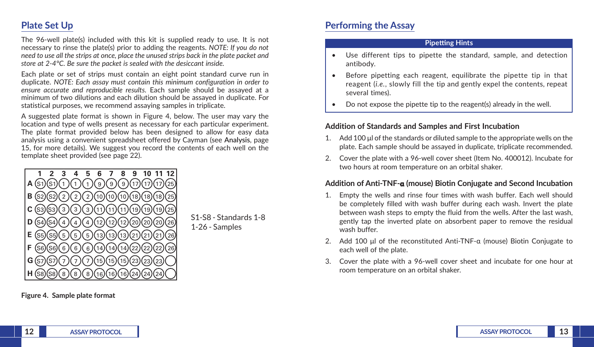## **Plate Set Up**

The 96-well plate(s) included with this kit is supplied ready to use. It is not necessary to rinse the plate(s) prior to adding the reagents. *NOTE: If you do not need to use all the strips at once, place the unused strips back in the plate packet and store at 2-4°C. Be sure the packet is sealed with the desiccant inside.*

Each plate or set of strips must contain an eight point standard curve run in duplicate. *NOTE: Each assay must contain this minimum configuration in order to ensure accurate and reproducible results.* Each sample should be assayed at a minimum of two dilutions and each dilution should be assayed in duplicate. For statistical purposes, we recommend assaying samples in triplicate.

A suggested plate format is shown in Figure 4, below. The user may vary the location and type of wells present as necessary for each particular experiment. The plate format provided below has been designed to allow for easy data analysis using a convenient spreadsheet offered by Cayman (see **Analysis**, page 15, for more details). We suggest you record the contents of each well on the template sheet provided (see page 22).



**Figure 4. Sample plate format**

## **Performing the Assay**

#### **Pipetting Hints**

- Use different tips to pipette the standard, sample, and detection antibody.
- Before pipetting each reagent, equilibrate the pipette tip in that reagent (*i.e.*, slowly fill the tip and gently expel the contents, repeat several times).
- Do not expose the pipette tip to the reagent(s) already in the well.

#### **Addition of Standards and Samples and First Incubation**

- 1. Add 100 μl of the standards or diluted sample to the appropriate wells on the plate. Each sample should be assayed in duplicate, triplicate recommended.
- 2. Cover the plate with a 96-well cover sheet (Item No. 400012). Incubate for two hours at room temperature on an orbital shaker.

#### **Addition of Anti-TNF-α (mouse) Biotin Conjugate and Second Incubation**

- 1. Empty the wells and rinse four times with wash buffer. Each well should be completely filled with wash buffer during each wash. Invert the plate between wash steps to empty the fluid from the wells. After the last wash, gently tap the inverted plate on absorbent paper to remove the residual wash buffer.
- 2. Add 100 μl of the reconstituted Anti-TNF-α (mouse) Biotin Conjugate to each well of the plate.
- 3. Cover the plate with a 96-well cover sheet and incubate for one hour at room temperature on an orbital shaker.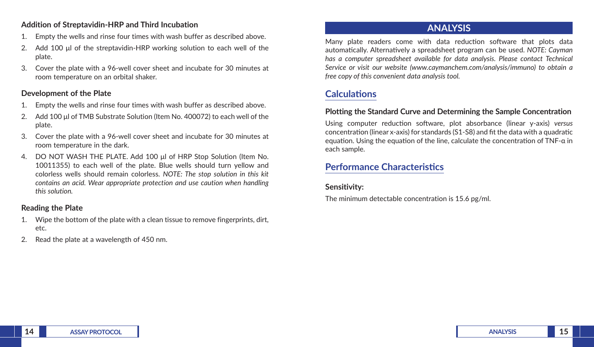#### **Addition of Streptavidin-HRP and Third Incubation**

- 1. Empty the wells and rinse four times with wash buffer as described above.
- 2. Add 100 μl of the streptavidin-HRP working solution to each well of the plate.
- 3. Cover the plate with a 96-well cover sheet and incubate for 30 minutes at room temperature on an orbital shaker.

#### **Development of the Plate**

- 1. Empty the wells and rinse four times with wash buffer as described above.
- 2. Add 100 μl of TMB Substrate Solution (Item No. 400072) to each well of the plate.
- 3. Cover the plate with a 96-well cover sheet and incubate for 30 minutes at room temperature in the dark.
- 4. DO NOT WASH THE PLATE. Add 100 μl of HRP Stop Solution (Item No. 10011355) to each well of the plate. Blue wells should turn yellow and colorless wells should remain colorless. *NOTE: The stop solution in this kit contains an acid. Wear appropriate protection and use caution when handling this solution.*

#### **Reading the Plate**

- 1. Wipe the bottom of the plate with a clean tissue to remove fingerprints, dirt, etc.
- 2. Read the plate at a wavelength of 450 nm.

### **ANALYSIS**

Many plate readers come with data reduction software that plots data automatically. Alternatively a spreadsheet program can be used. *NOTE: Cayman has a computer spreadsheet available for data analysis. Please contact Technical Service or visit our website (www.caymanchem.com/analysis/immuno) to obtain a free copy of this convenient data analysis tool.* 

## **Calculations**

#### **Plotting the Standard Curve and Determining the Sample Concentration**

Using computer reduction software, plot absorbance (linear y-axis) *versus*  concentration (linear x-axis) for standards (S1-S8) and fit the data with a quadratic equation. Using the equation of the line, calculate the concentration of TNF-α in each sample.

## **Performance Characteristics**

### **Sensitivity:**

The minimum detectable concentration is 15.6 pg/ml.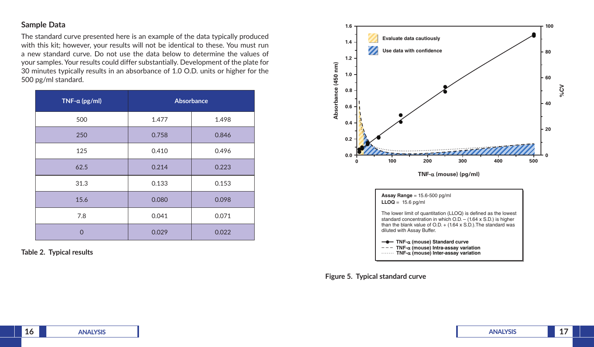#### **Sample Data**

The standard curve presented here is an example of the data typically produced with this kit; however, your results will not be identical to these. You must run a new standard curve. Do not use the data below to determine the values of your samples. Your results could differ substantially. Development of the plate for 30 minutes typically results in an absorbance of 1.0 O.D. units or higher for the 500 pg/ml standard.

| TNF- $\alpha$ (pg/ml) | Absorbance |       |
|-----------------------|------------|-------|
| 500                   | 1.477      | 1.498 |
| 250                   | 0.758      | 0.846 |
| 125                   | 0.410      | 0.496 |
| 62.5                  | 0.214      | 0.223 |
| 31.3                  | 0.133      | 0.153 |
| 15.6                  | 0.080      | 0.098 |
| 7.8                   | 0.041      | 0.071 |
| $\overline{0}$        | 0.029      | 0.022 |

**Table 2. Typical results**



standard concentration in which O.D. – (1.64 x S.D.) is higher than the blank value of  $O.D. + (1.64 \times S.D.)$ . The standard was diluted with Assay Buffer.

**TNF-**α **(mouse) Standard curve TNF-**α **(mouse) Intra-assay variation TNF-**α **(mouse) Inter-assay variation**

**Figure 5. Typical standard curve**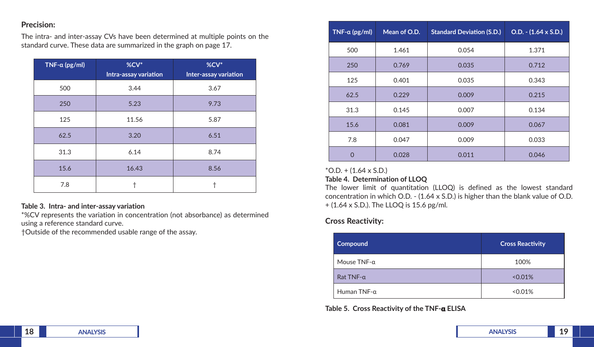#### **Precision:**

The intra- and inter-assay CVs have been determined at multiple points on the standard curve. These data are summarized in the graph on page 17.

| $TNF-a$ (pg/ml) | %CV*<br>Intra-assay variation | %CV*<br>Inter-assay variation |
|-----------------|-------------------------------|-------------------------------|
| 500             | 3.44                          | 3.67                          |
| 250             | 5.23                          | 9.73                          |
| 125             | 11.56                         | 5.87                          |
| 62.5            | 3.20                          | 6.51                          |
| 31.3            | 6.14                          | 8.74                          |
| 15.6            | 16.43                         | 8.56                          |
| 7.8             |                               |                               |

#### **Table 3. Intra- and inter-assay variation**

\*%CV represents the variation in concentration (not absorbance) as determined using a reference standard curve.

†Outside of the recommended usable range of the assay.

| $TNF-a (pg/ml)$ | Mean of O.D. | <b>Standard Deviation (S.D.)</b> | $O.D. - (1.64 \times S.D.)$ |
|-----------------|--------------|----------------------------------|-----------------------------|
| 500             | 1.461        | 0.054                            | 1.371                       |
| 250             | 0.769        | 0.035                            | 0.712                       |
| 125             | 0.401        | 0.035                            | 0.343                       |
| 62.5            | 0.229        | 0.009                            | 0.215                       |
| 31.3            | 0.145        | 0.007                            | 0.134                       |
| 15.6            | 0.081        | 0.009                            | 0.067                       |
| 7.8             | 0.047        | 0.009                            | 0.033                       |
| ∩               | 0.028        | 0.011                            | 0.046                       |

#### $*$ O.D. + (1.64 x S.D.)

#### **Table 4. Determination of LLOQ**

The lower limit of quantitation (LLOQ) is defined as the lowest standard concentration in which O.D. - (1.64 x S.D.) is higher than the blank value of O.D. + (1.64 x S.D.). The LLOQ is 15.6 pg/ml.

#### **Cross Reactivity:**

| Compound            | <b>Cross Reactivity</b> |
|---------------------|-------------------------|
| Mouse $TNF-a$       | 100%                    |
| Rat TNF- $\alpha$   | $< 0.01\%$              |
| Human TNF- $\alpha$ | $0.01\%$                |

**Table 5. Cross Reactivity of the TNF-α ELISA**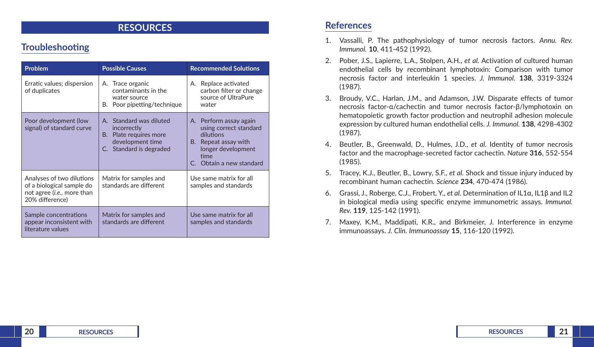### **RESOURCES**

## **Troubleshooting**

| <b>Problem</b>                                                                                                   | <b>Possible Causes</b>                                                                                          | <b>Recommended Solutions</b>                                                                                                                 |  |
|------------------------------------------------------------------------------------------------------------------|-----------------------------------------------------------------------------------------------------------------|----------------------------------------------------------------------------------------------------------------------------------------------|--|
| Erratic values; dispersion<br>of duplicates                                                                      | A. Trace organic<br>contaminants in the<br>water source<br>B. Poor pipetting/technique                          | A. Replace activated<br>carbon filter or change<br>source of UltraPure<br>water                                                              |  |
| Poor development (low<br>signal) of standard curve                                                               | A. Standard was diluted<br>incorrectly<br>B. Plate requires more<br>development time<br>C. Standard is degraded | A. Perform assay again<br>using correct standard<br>dilutions<br>B. Repeat assay with<br>longer development<br>time<br>Obtain a new standard |  |
| Analyses of two dilutions<br>of a biological sample do<br>not agree ( <i>i.e.</i> , more than<br>20% difference) | Matrix for samples and<br>standards are different                                                               | Use same matrix for all<br>samples and standards                                                                                             |  |
| Sample concentrations<br>appear inconsistent with<br>literature values                                           | Matrix for samples and<br>standards are different                                                               | Use same matrix for all<br>samples and standards                                                                                             |  |

### **References**

- 1. Vassalli, P. The pathophysiology of tumor necrosis factors. *Annu. Rev. Immunol.* **10**, 411-452 (1992).
- 2. Pober, J.S., Lapierre, L.A., Stolpen, A.H., *et al.* Activation of cultured human endothelial cells by recombinant lymphotoxin: Comparison with tumor necrosis factor and interleukin 1 species. *J. Immunol.* **138**, 3319-3324 (1987).
- 3. Broudy, V.C., Harlan, J.M., and Adamson, J.W. Disparate effects of tumor necrosis factor-α/cachectin and tumor necrosis factor-β/lymphotoxin on hematopoietic growth factor production and neutrophil adhesion molecule expression by cultured human endothelial cells. *J. Immunol.* **138**, 4298-4302 (1987).
- 4. Beutler, B., Greenwald, D., Hulmes, J.D., *et al.* Identity of tumor necrosis factor and the macrophage-secreted factor cachectin. *Nature* **316**, 552-554 (1985).
- 5. Tracey, K.J., Beutler, B., Lowry, S.F., *et al.* Shock and tissue injury induced by recombinant human cachectin. *Science* **234**, 470-474 (1986).
- 6. Grassi, J., Roberge, C.J., Frobert, Y., *et al.* Determination of IL1α, IL1β and IL2 in biological media using specific enzyme immunometric assays. *Immunol. Rev.* **119**, 125-142 (1991).
- 7. Maxey, K.M., Maddipati, K.R., and Birkmeier, J. Interference in enzyme immunoassays. *J. Clin. Immunoassay* **15**, 116-120 (1992).